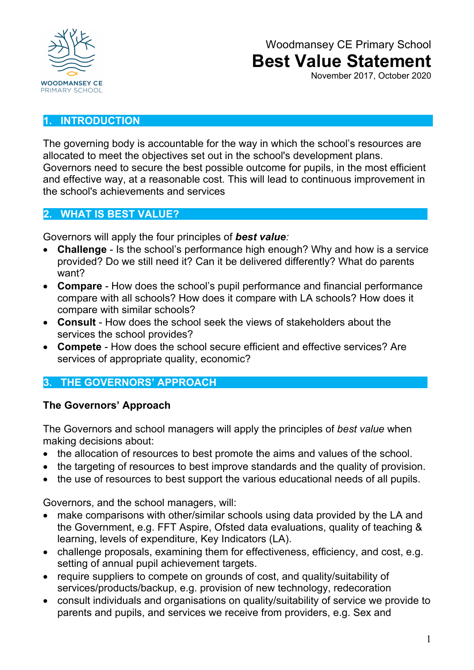

November 2017, October 2020

#### **1. INTRODUCTION**

The governing body is accountable for the way in which the school's resources are allocated to meet the objectives set out in the school's development plans. Governors need to secure the best possible outcome for pupils, in the most efficient and effective way, at a reasonable cost. This will lead to continuous improvement in the school's achievements and services

#### **2. WHAT IS BEST VALUE?**

Governors will apply the four principles of *best value:*

- **Challenge**  Is the school's performance high enough? Why and how is a service provided? Do we still need it? Can it be delivered differently? What do parents want?
- **Compare**  How does the school's pupil performance and financial performance compare with all schools? How does it compare with LA schools? How does it compare with similar schools?
- **Consult**  How does the school seek the views of stakeholders about the services the school provides?
- **Compete**  How does the school secure efficient and effective services? Are services of appropriate quality, economic?

## **3. THE GOVERNORS' APPROACH**

### **The Governors' Approach**

The Governors and school managers will apply the principles of *best value* when making decisions about:

- the allocation of resources to best promote the aims and values of the school.
- the targeting of resources to best improve standards and the quality of provision.
- the use of resources to best support the various educational needs of all pupils.

Governors, and the school managers, will:

- make comparisons with other/similar schools using data provided by the LA and the Government, e.g. FFT Aspire, Ofsted data evaluations, quality of teaching & learning, levels of expenditure, Key Indicators (LA).
- challenge proposals, examining them for effectiveness, efficiency, and cost, e.g. setting of annual pupil achievement targets.
- require suppliers to compete on grounds of cost, and quality/suitability of services/products/backup, e.g. provision of new technology, redecoration
- consult individuals and organisations on quality/suitability of service we provide to parents and pupils, and services we receive from providers, e.g. Sex and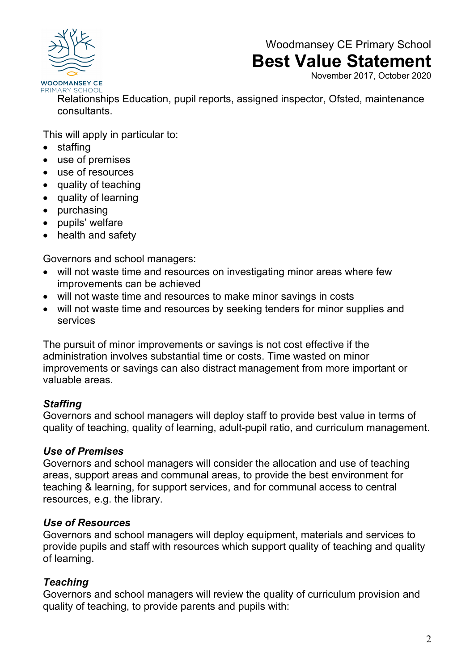

November 2017, October 2020

PRIMARY SCHOOL

Relationships Education, pupil reports, assigned inspector, Ofsted, maintenance consultants.

This will apply in particular to:

- staffing
- use of premises
- use of resources
- quality of teaching
- quality of learning
- purchasing
- pupils' welfare
- health and safety

Governors and school managers:

- will not waste time and resources on investigating minor areas where few improvements can be achieved
- will not waste time and resources to make minor savings in costs
- will not waste time and resources by seeking tenders for minor supplies and services

The pursuit of minor improvements or savings is not cost effective if the administration involves substantial time or costs. Time wasted on minor improvements or savings can also distract management from more important or valuable areas.

### *Staffing*

Governors and school managers will deploy staff to provide best value in terms of quality of teaching, quality of learning, adult-pupil ratio, and curriculum management.

#### *Use of Premises*

Governors and school managers will consider the allocation and use of teaching areas, support areas and communal areas, to provide the best environment for teaching & learning, for support services, and for communal access to central resources, e.g. the library.

#### *Use of Resources*

Governors and school managers will deploy equipment, materials and services to provide pupils and staff with resources which support quality of teaching and quality of learning.

### *Teaching*

Governors and school managers will review the quality of curriculum provision and quality of teaching, to provide parents and pupils with: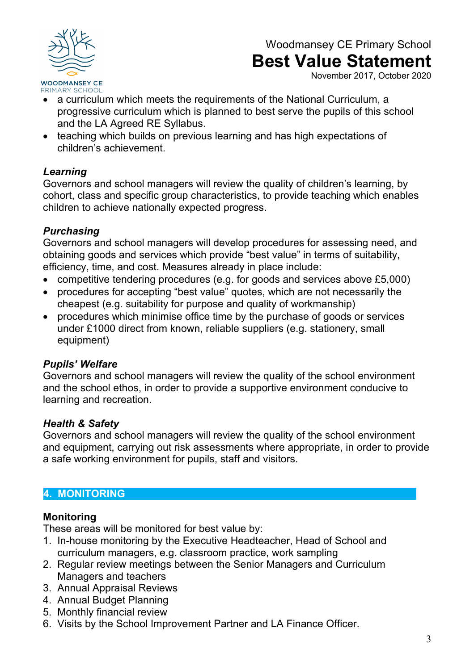

November 2017, October 2020

- a curriculum which meets the requirements of the National Curriculum, a progressive curriculum which is planned to best serve the pupils of this school and the LA Agreed RE Syllabus.
- teaching which builds on previous learning and has high expectations of children's achievement.

### *Learning*

Governors and school managers will review the quality of children's learning, by cohort, class and specific group characteristics, to provide teaching which enables children to achieve nationally expected progress.

## *Purchasing*

Governors and school managers will develop procedures for assessing need, and obtaining goods and services which provide "best value" in terms of suitability, efficiency, time, and cost. Measures already in place include:

- competitive tendering procedures (e.g. for goods and services above £5,000)
- procedures for accepting "best value" quotes, which are not necessarily the cheapest (e.g. suitability for purpose and quality of workmanship)
- procedures which minimise office time by the purchase of goods or services under £1000 direct from known, reliable suppliers (e.g. stationery, small equipment)

## *Pupils' Welfare*

Governors and school managers will review the quality of the school environment and the school ethos, in order to provide a supportive environment conducive to learning and recreation.

## *Health & Safety*

Governors and school managers will review the quality of the school environment and equipment, carrying out risk assessments where appropriate, in order to provide a safe working environment for pupils, staff and visitors.

## **4. MONITORING**

## **Monitoring**

These areas will be monitored for best value by:

- 1. In-house monitoring by the Executive Headteacher, Head of School and curriculum managers, e.g. classroom practice, work sampling
- 2. Regular review meetings between the Senior Managers and Curriculum Managers and teachers
- 3. Annual Appraisal Reviews
- 4. Annual Budget Planning
- 5. Monthly financial review
- 6. Visits by the School Improvement Partner and LA Finance Officer.